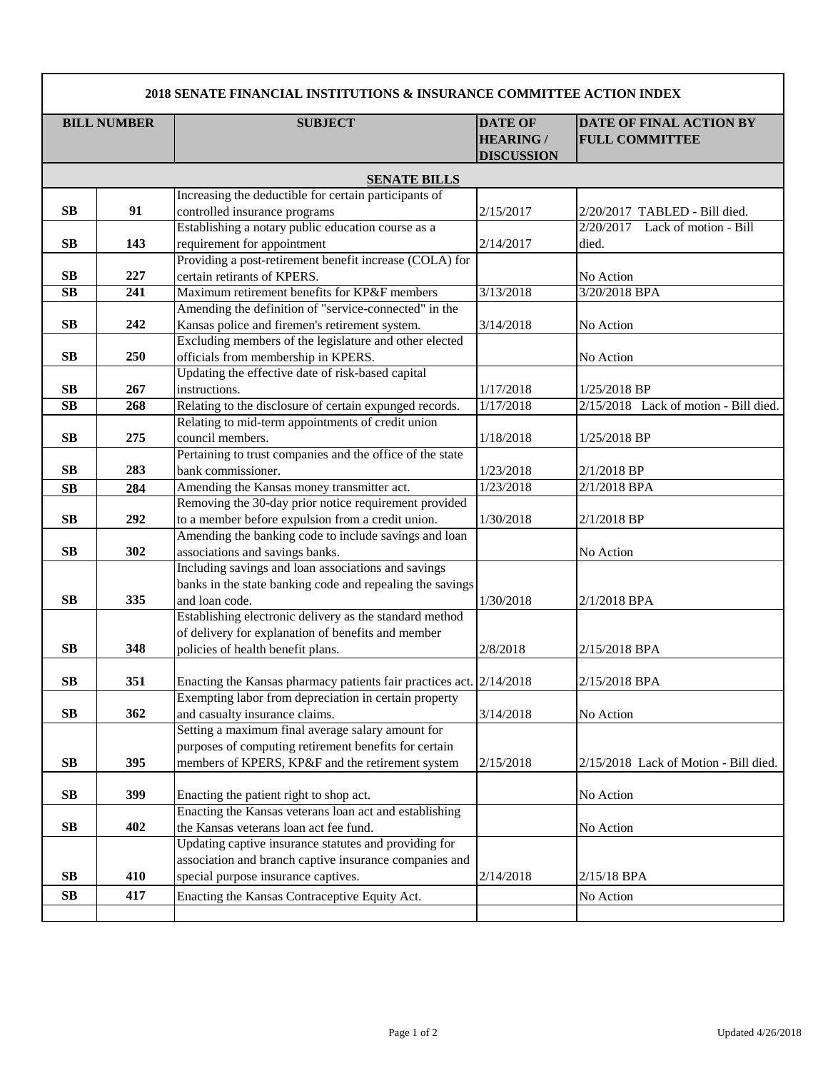| 2018 SENATE FINANCIAL INSTITUTIONS & INSURANCE COMMITTEE ACTION INDEX |            |                                                                     |                                                         |                                                         |  |  |  |
|-----------------------------------------------------------------------|------------|---------------------------------------------------------------------|---------------------------------------------------------|---------------------------------------------------------|--|--|--|
| <b>BILL NUMBER</b>                                                    |            | <b>SUBJECT</b>                                                      | <b>DATE OF</b><br><b>HEARING /</b><br><b>DISCUSSION</b> | <b>DATE OF FINAL ACTION BY</b><br><b>FULL COMMITTEE</b> |  |  |  |
| <b>SENATE BILLS</b>                                                   |            |                                                                     |                                                         |                                                         |  |  |  |
|                                                                       |            | Increasing the deductible for certain participants of               |                                                         |                                                         |  |  |  |
| <b>SB</b>                                                             | 91         | controlled insurance programs                                       | 2/15/2017                                               | 2/20/2017 TABLED - Bill died.                           |  |  |  |
|                                                                       |            | Establishing a notary public education course as a                  |                                                         | 2/20/2017<br>Lack of motion - Bill                      |  |  |  |
| <b>SB</b>                                                             | 143        | requirement for appointment                                         | 2/14/2017                                               | died.                                                   |  |  |  |
|                                                                       |            | Providing a post-retirement benefit increase (COLA) for             |                                                         |                                                         |  |  |  |
| <b>SB</b>                                                             | 227        | certain retirants of KPERS.                                         |                                                         | No Action                                               |  |  |  |
| $\overline{\text{SB}}$                                                | 241        | Maximum retirement benefits for KP&F members                        | 3/13/2018                                               | 3/20/2018 BPA                                           |  |  |  |
|                                                                       |            | Amending the definition of "service-connected" in the               |                                                         |                                                         |  |  |  |
| <b>SB</b>                                                             | 242        | Kansas police and firemen's retirement system.                      | 3/14/2018                                               | No Action                                               |  |  |  |
|                                                                       |            | Excluding members of the legislature and other elected              |                                                         |                                                         |  |  |  |
| <b>SB</b>                                                             | 250        | officials from membership in KPERS.                                 |                                                         | No Action                                               |  |  |  |
|                                                                       |            | Updating the effective date of risk-based capital<br>instructions.  |                                                         |                                                         |  |  |  |
| <b>SB</b><br><b>SB</b>                                                | 267<br>268 | Relating to the disclosure of certain expunged records.             | 1/17/2018<br>1/17/2018                                  | $1/25/2018$ BP<br>2/15/2018 Lack of motion - Bill died. |  |  |  |
|                                                                       |            | Relating to mid-term appointments of credit union                   |                                                         |                                                         |  |  |  |
| <b>SB</b>                                                             | 275        | council members.                                                    | 1/18/2018                                               | 1/25/2018 BP                                            |  |  |  |
|                                                                       |            | Pertaining to trust companies and the office of the state           |                                                         |                                                         |  |  |  |
| <b>SB</b>                                                             | 283        | bank commissioner.                                                  | 1/23/2018                                               | $2/1/2018$ BP                                           |  |  |  |
| SB                                                                    | 284        | Amending the Kansas money transmitter act.                          | 1/23/2018                                               | 2/1/2018 BPA                                            |  |  |  |
|                                                                       |            | Removing the 30-day prior notice requirement provided               |                                                         |                                                         |  |  |  |
| <b>SB</b>                                                             | 292        | to a member before expulsion from a credit union.                   | 1/30/2018                                               | $2/1/2018$ BP                                           |  |  |  |
|                                                                       |            | Amending the banking code to include savings and loan               |                                                         |                                                         |  |  |  |
| <b>SB</b>                                                             | 302        | associations and savings banks.                                     |                                                         | No Action                                               |  |  |  |
|                                                                       |            | Including savings and loan associations and savings                 |                                                         |                                                         |  |  |  |
|                                                                       |            | banks in the state banking code and repealing the savings           |                                                         |                                                         |  |  |  |
| <b>SB</b>                                                             | 335        | and loan code.                                                      | 1/30/2018                                               | 2/1/2018 BPA                                            |  |  |  |
|                                                                       |            | Establishing electronic delivery as the standard method             |                                                         |                                                         |  |  |  |
|                                                                       |            | of delivery for explanation of benefits and member                  |                                                         |                                                         |  |  |  |
| <b>SB</b>                                                             | 348        | policies of health benefit plans.                                   | 2/8/2018                                                | 2/15/2018 BPA                                           |  |  |  |
|                                                                       |            |                                                                     |                                                         |                                                         |  |  |  |
| <b>SB</b>                                                             | 351        | Enacting the Kansas pharmacy patients fair practices act. 2/14/2018 |                                                         | 2/15/2018 BPA                                           |  |  |  |
|                                                                       |            | Exempting labor from depreciation in certain property               |                                                         |                                                         |  |  |  |
| SB                                                                    | 362        | and casualty insurance claims.                                      | 3/14/2018                                               | No Action                                               |  |  |  |
|                                                                       |            | Setting a maximum final average salary amount for                   |                                                         |                                                         |  |  |  |
| <b>SB</b>                                                             | 395        | purposes of computing retirement benefits for certain               |                                                         | 2/15/2018 Lack of Motion - Bill died.                   |  |  |  |
|                                                                       |            | members of KPERS, KP&F and the retirement system                    | 2/15/2018                                               |                                                         |  |  |  |
| SB                                                                    | 399        | Enacting the patient right to shop act.                             |                                                         | No Action                                               |  |  |  |
|                                                                       |            | Enacting the Kansas veterans loan act and establishing              |                                                         |                                                         |  |  |  |
| SB                                                                    | 402        | the Kansas veterans loan act fee fund.                              |                                                         | No Action                                               |  |  |  |
|                                                                       |            | Updating captive insurance statutes and providing for               |                                                         |                                                         |  |  |  |
|                                                                       |            | association and branch captive insurance companies and              |                                                         |                                                         |  |  |  |
| SB                                                                    | 410        | special purpose insurance captives.                                 | 2/14/2018                                               | 2/15/18 BPA                                             |  |  |  |
| SB                                                                    | 417        | Enacting the Kansas Contraceptive Equity Act.                       |                                                         | No Action                                               |  |  |  |
|                                                                       |            |                                                                     |                                                         |                                                         |  |  |  |

 $\overline{\phantom{a}}$ 

1